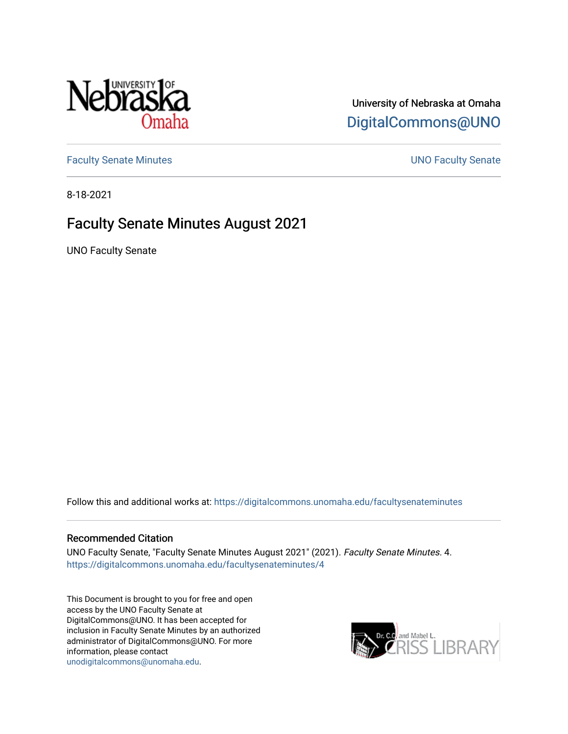

# University of Nebraska at Omaha [DigitalCommons@UNO](https://digitalcommons.unomaha.edu/)

[Faculty Senate Minutes](https://digitalcommons.unomaha.edu/facultysenateminutes) **Example 2018** UNO Faculty Senate

8-18-2021

# Faculty Senate Minutes August 2021

UNO Faculty Senate

Follow this and additional works at: [https://digitalcommons.unomaha.edu/facultysenateminutes](https://digitalcommons.unomaha.edu/facultysenateminutes?utm_source=digitalcommons.unomaha.edu%2Ffacultysenateminutes%2F4&utm_medium=PDF&utm_campaign=PDFCoverPages) 

#### Recommended Citation

UNO Faculty Senate, "Faculty Senate Minutes August 2021" (2021). Faculty Senate Minutes. 4. [https://digitalcommons.unomaha.edu/facultysenateminutes/4](https://digitalcommons.unomaha.edu/facultysenateminutes/4?utm_source=digitalcommons.unomaha.edu%2Ffacultysenateminutes%2F4&utm_medium=PDF&utm_campaign=PDFCoverPages) 

This Document is brought to you for free and open access by the UNO Faculty Senate at DigitalCommons@UNO. It has been accepted for inclusion in Faculty Senate Minutes by an authorized administrator of DigitalCommons@UNO. For more information, please contact [unodigitalcommons@unomaha.edu.](mailto:unodigitalcommons@unomaha.edu)

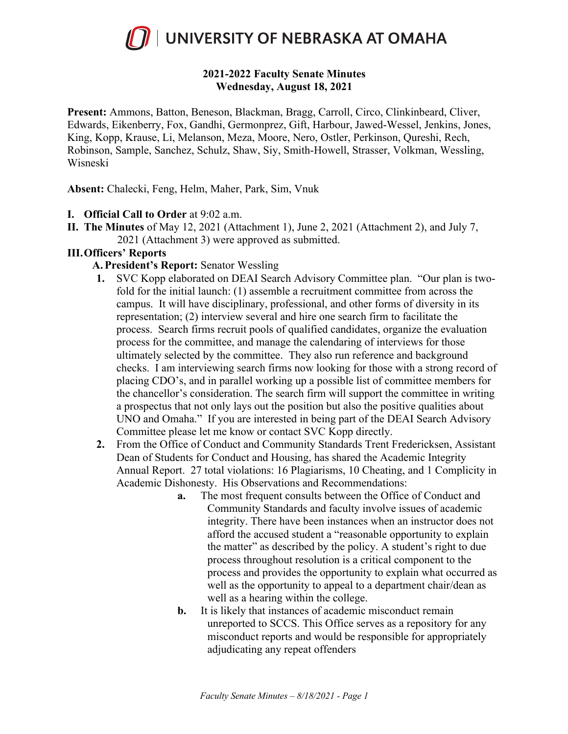

# **2021-2022 Faculty Senate Minutes Wednesday, August 18, 2021**

**Present:** Ammons, Batton, Beneson, Blackman, Bragg, Carroll, Circo, Clinkinbeard, Cliver, Edwards, Eikenberry, Fox, Gandhi, Germonprez, Gift, Harbour, Jawed-Wessel, Jenkins, Jones, King, Kopp, Krause, Li, Melanson, Meza, Moore, Nero, Ostler, Perkinson, Qureshi, Rech, Robinson, Sample, Sanchez, Schulz, Shaw, Siy, Smith-Howell, Strasser, Volkman, Wessling, Wisneski

**Absent:** Chalecki, Feng, Helm, Maher, Park, Sim, Vnuk

- **I. Official Call to Order** at 9:02 a.m.
- **II. The Minutes** of May 12, 2021 (Attachment 1), June 2, 2021 (Attachment 2), and July 7, 2021 (Attachment 3) were approved as submitted.

# **III.Officers' Reports**

- **A. President's Report:** Senator Wessling
- **1.** SVC Kopp elaborated on DEAI Search Advisory Committee plan. "Our plan is twofold for the initial launch: (1) assemble a recruitment committee from across the campus. It will have disciplinary, professional, and other forms of diversity in its representation; (2) interview several and hire one search firm to facilitate the process. Search firms recruit pools of qualified candidates, organize the evaluation process for the committee, and manage the calendaring of interviews for those ultimately selected by the committee. They also run reference and background checks. I am interviewing search firms now looking for those with a strong record of placing CDO's, and in parallel working up a possible list of committee members for the chancellor's consideration. The search firm will support the committee in writing a prospectus that not only lays out the position but also the positive qualities about UNO and Omaha." If you are interested in being part of the DEAI Search Advisory Committee please let me know or contact SVC Kopp directly.
- **2.** From the Office of Conduct and Community Standards Trent Fredericksen, Assistant Dean of Students for Conduct and Housing, has shared the Academic Integrity Annual Report. 27 total violations: 16 Plagiarisms, 10 Cheating, and 1 Complicity in Academic Dishonesty. His Observations and Recommendations:
	- **a.** The most frequent consults between the Office of Conduct and Community Standards and faculty involve issues of academic integrity. There have been instances when an instructor does not afford the accused student a "reasonable opportunity to explain the matter" as described by the policy. A student's right to due process throughout resolution is a critical component to the process and provides the opportunity to explain what occurred as well as the opportunity to appeal to a department chair/dean as well as a hearing within the college.
	- **b.** It is likely that instances of academic misconduct remain unreported to SCCS. This Office serves as a repository for any misconduct reports and would be responsible for appropriately adjudicating any repeat offenders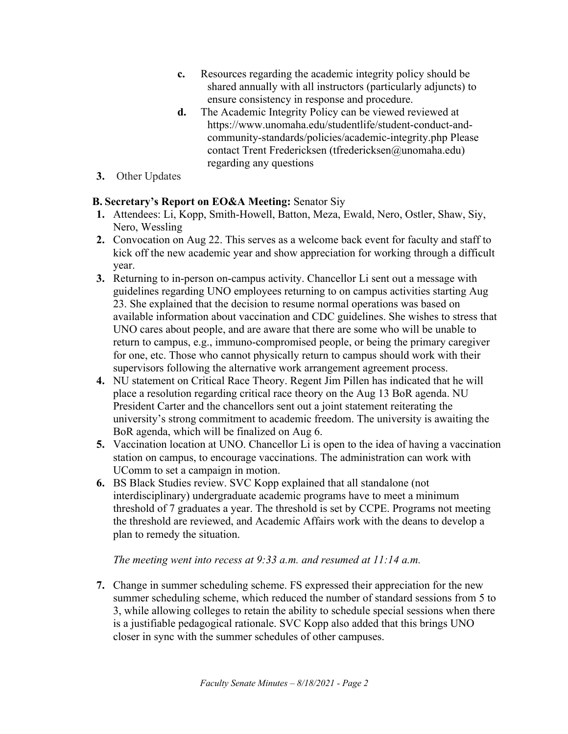- **c.** Resources regarding the academic integrity policy should be shared annually with all instructors (particularly adjuncts) to ensure consistency in response and procedure.
- **d.** The Academic Integrity Policy can be viewed reviewed at https://www.unomaha.edu/studentlife/student-conduct-andcommunity-standards/policies/academic-integrity.php Please contact Trent Fredericksen (tfredericksen@unomaha.edu) regarding any questions
- **3.** Other Updates

# **B. Secretary's Report on EO&A Meeting:** Senator Siy

- **1.** Attendees: Li, Kopp, Smith-Howell, Batton, Meza, Ewald, Nero, Ostler, Shaw, Siy, Nero, Wessling
- **2.** Convocation on Aug 22. This serves as a welcome back event for faculty and staff to kick off the new academic year and show appreciation for working through a difficult year.
- **3.** Returning to in-person on-campus activity. Chancellor Li sent out a message with guidelines regarding UNO employees returning to on campus activities starting Aug 23. She explained that the decision to resume normal operations was based on available information about vaccination and CDC guidelines. She wishes to stress that UNO cares about people, and are aware that there are some who will be unable to return to campus, e.g., immuno-compromised people, or being the primary caregiver for one, etc. Those who cannot physically return to campus should work with their supervisors following the alternative work arrangement agreement process.
- **4.** NU statement on Critical Race Theory. Regent Jim Pillen has indicated that he will place a resolution regarding critical race theory on the Aug 13 BoR agenda. NU President Carter and the chancellors sent out a joint statement reiterating the university's strong commitment to academic freedom. The university is awaiting the BoR agenda, which will be finalized on Aug 6.
- **5.** Vaccination location at UNO. Chancellor Li is open to the idea of having a vaccination station on campus, to encourage vaccinations. The administration can work with UComm to set a campaign in motion.
- **6.** BS Black Studies review. SVC Kopp explained that all standalone (not interdisciplinary) undergraduate academic programs have to meet a minimum threshold of 7 graduates a year. The threshold is set by CCPE. Programs not meeting the threshold are reviewed, and Academic Affairs work with the deans to develop a plan to remedy the situation.

# *The meeting went into recess at 9:33 a.m. and resumed at 11:14 a.m.*

**7.** Change in summer scheduling scheme. FS expressed their appreciation for the new summer scheduling scheme, which reduced the number of standard sessions from 5 to 3, while allowing colleges to retain the ability to schedule special sessions when there is a justifiable pedagogical rationale. SVC Kopp also added that this brings UNO closer in sync with the summer schedules of other campuses.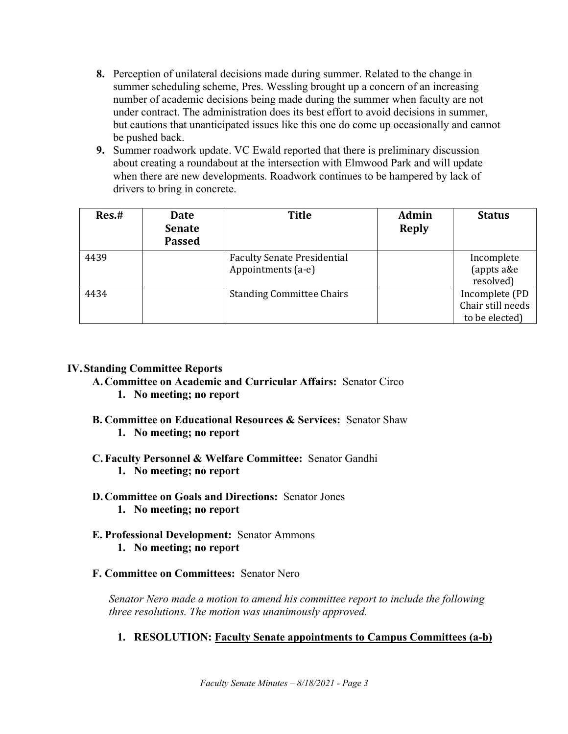- **8.** Perception of unilateral decisions made during summer. Related to the change in summer scheduling scheme, Pres. Wessling brought up a concern of an increasing number of academic decisions being made during the summer when faculty are not under contract. The administration does its best effort to avoid decisions in summer, but cautions that unanticipated issues like this one do come up occasionally and cannot be pushed back.
- **9.** Summer roadwork update. VC Ewald reported that there is preliminary discussion about creating a roundabout at the intersection with Elmwood Park and will update when there are new developments. Roadwork continues to be hampered by lack of drivers to bring in concrete.

| Res.# | Date<br><b>Senate</b><br><b>Passed</b> | <b>Title</b>                                             | Admin<br><b>Reply</b> | <b>Status</b>                                         |
|-------|----------------------------------------|----------------------------------------------------------|-----------------------|-------------------------------------------------------|
| 4439  |                                        | <b>Faculty Senate Presidential</b><br>Appointments (a-e) |                       | Incomplete<br>(appts a&e<br>resolved)                 |
| 4434  |                                        | <b>Standing Committee Chairs</b>                         |                       | Incomplete (PD<br>Chair still needs<br>to be elected) |

#### **IV.Standing Committee Reports**

**A. Committee on Academic and Curricular Affairs:** Senator Circo

- **1. No meeting; no report**
- **B. Committee on Educational Resources & Services:** Senator Shaw **1. No meeting; no report**
- **C. Faculty Personnel & Welfare Committee:** Senator Gandhi **1. No meeting; no report**

# **D. Committee on Goals and Directions:** Senator Jones

- **1. No meeting; no report**
- **E. Professional Development:** Senator Ammons **1. No meeting; no report**
- **F. Committee on Committees:** Senator Nero

*Senator Nero made a motion to amend his committee report to include the following three resolutions. The motion was unanimously approved.*

# **1. RESOLUTION: Faculty Senate appointments to Campus Committees (a-b)**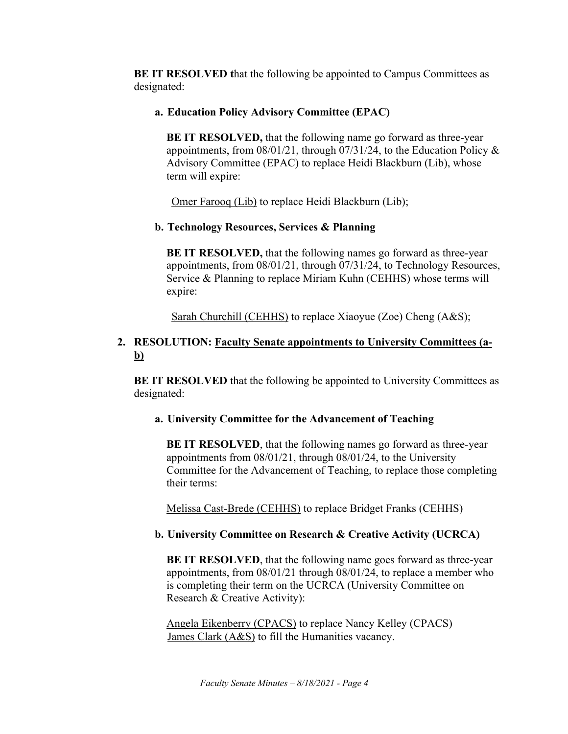**BE IT RESOLVED t**hat the following be appointed to Campus Committees as designated:

### **a. Education Policy Advisory Committee (EPAC)**

**BE IT RESOLVED,** that the following name go forward as three-year appointments, from 08/01/21, through 07/31/24, to the Education Policy & Advisory Committee (EPAC) to replace Heidi Blackburn (Lib), whose term will expire:

Omer Farooq (Lib) to replace Heidi Blackburn (Lib);

### **b. Technology Resources, Services & Planning**

**BE IT RESOLVED,** that the following names go forward as three-year appointments, from 08/01/21, through 07/31/24, to Technology Resources, Service & Planning to replace Miriam Kuhn (CEHHS) whose terms will expire:

Sarah Churchill (CEHHS) to replace Xiaoyue (Zoe) Cheng (A&S);

# **2. RESOLUTION: Faculty Senate appointments to University Committees (ab)**

**BE IT RESOLVED** that the following be appointed to University Committees as designated:

#### **a. University Committee for the Advancement of Teaching**

**BE IT RESOLVED**, that the following names go forward as three-year appointments from 08/01/21, through 08/01/24, to the University Committee for the Advancement of Teaching, to replace those completing their terms:

Melissa Cast-Brede (CEHHS) to replace Bridget Franks (CEHHS)

# **b. University Committee on Research & Creative Activity (UCRCA)**

**BE IT RESOLVED**, that the following name goes forward as three-year appointments, from 08/01/21 through 08/01/24, to replace a member who is completing their term on the UCRCA (University Committee on Research & Creative Activity):

Angela Eikenberry (CPACS) to replace Nancy Kelley (CPACS) James Clark (A&S) to fill the Humanities vacancy.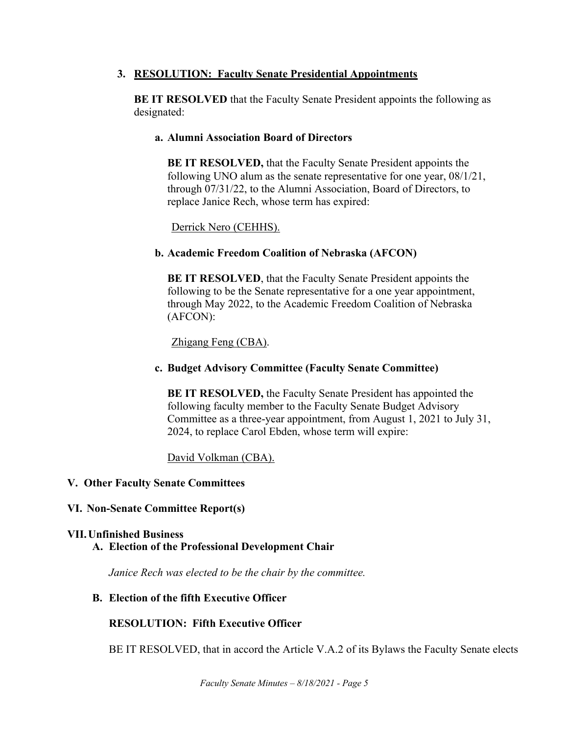# **3. RESOLUTION: Faculty Senate Presidential Appointments**

**BE IT RESOLVED** that the Faculty Senate President appoints the following as designated:

# **a. Alumni Association Board of Directors**

**BE IT RESOLVED,** that the Faculty Senate President appoints the following UNO alum as the senate representative for one year, 08/1/21, through 07/31/22, to the Alumni Association, Board of Directors, to replace Janice Rech, whose term has expired:

# Derrick Nero (CEHHS).

# **b. Academic Freedom Coalition of Nebraska (AFCON)**

**BE IT RESOLVED**, that the Faculty Senate President appoints the following to be the Senate representative for a one year appointment, through May 2022, to the Academic Freedom Coalition of Nebraska (AFCON):

Zhigang Feng (CBA).

# **c. Budget Advisory Committee (Faculty Senate Committee)**

**BE IT RESOLVED,** the Faculty Senate President has appointed the following faculty member to the Faculty Senate Budget Advisory Committee as a three-year appointment, from August 1, 2021 to July 31, 2024, to replace Carol Ebden, whose term will expire:

David Volkman (CBA).

# **V. Other Faculty Senate Committees**

# **VI. Non-Senate Committee Report(s)**

#### **VII.Unfinished Business A. Election of the Professional Development Chair**

*Janice Rech was elected to be the chair by the committee.*

#### **B. Election of the fifth Executive Officer**

# **RESOLUTION: Fifth Executive Officer**

BE IT RESOLVED, that in accord the Article V.A.2 of its Bylaws the Faculty Senate elects